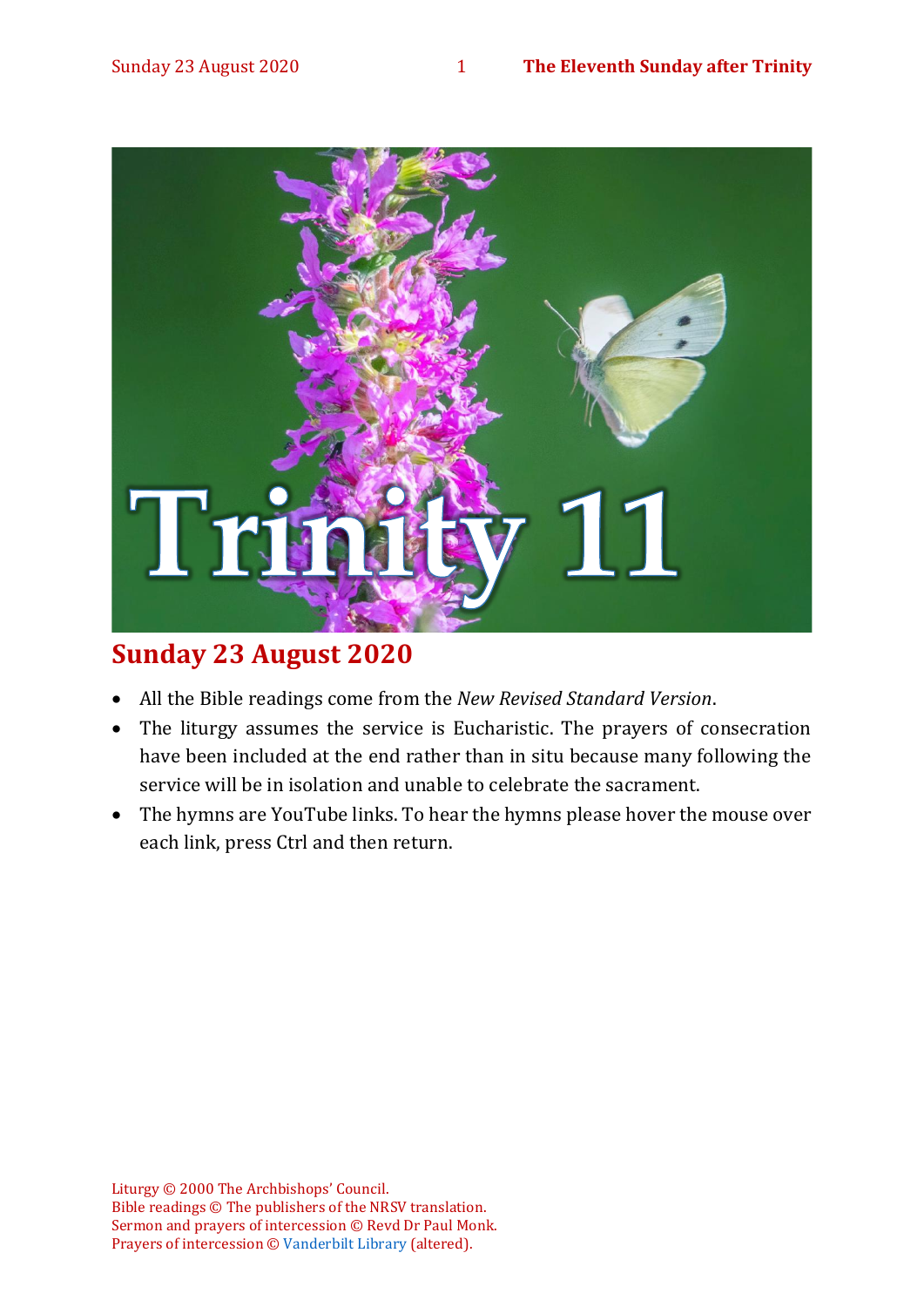

# **Sunday 23 August 2020**

- All the Bible readings come from the *New Revised Standard Version*.
- The liturgy assumes the service is Eucharistic. The prayers of consecration have been included at the end rather than in situ because many following the service will be in isolation and unable to celebrate the sacrament.
- The hymns are YouTube links. To hear the hymns please hover the mouse over each link, press Ctrl and then return.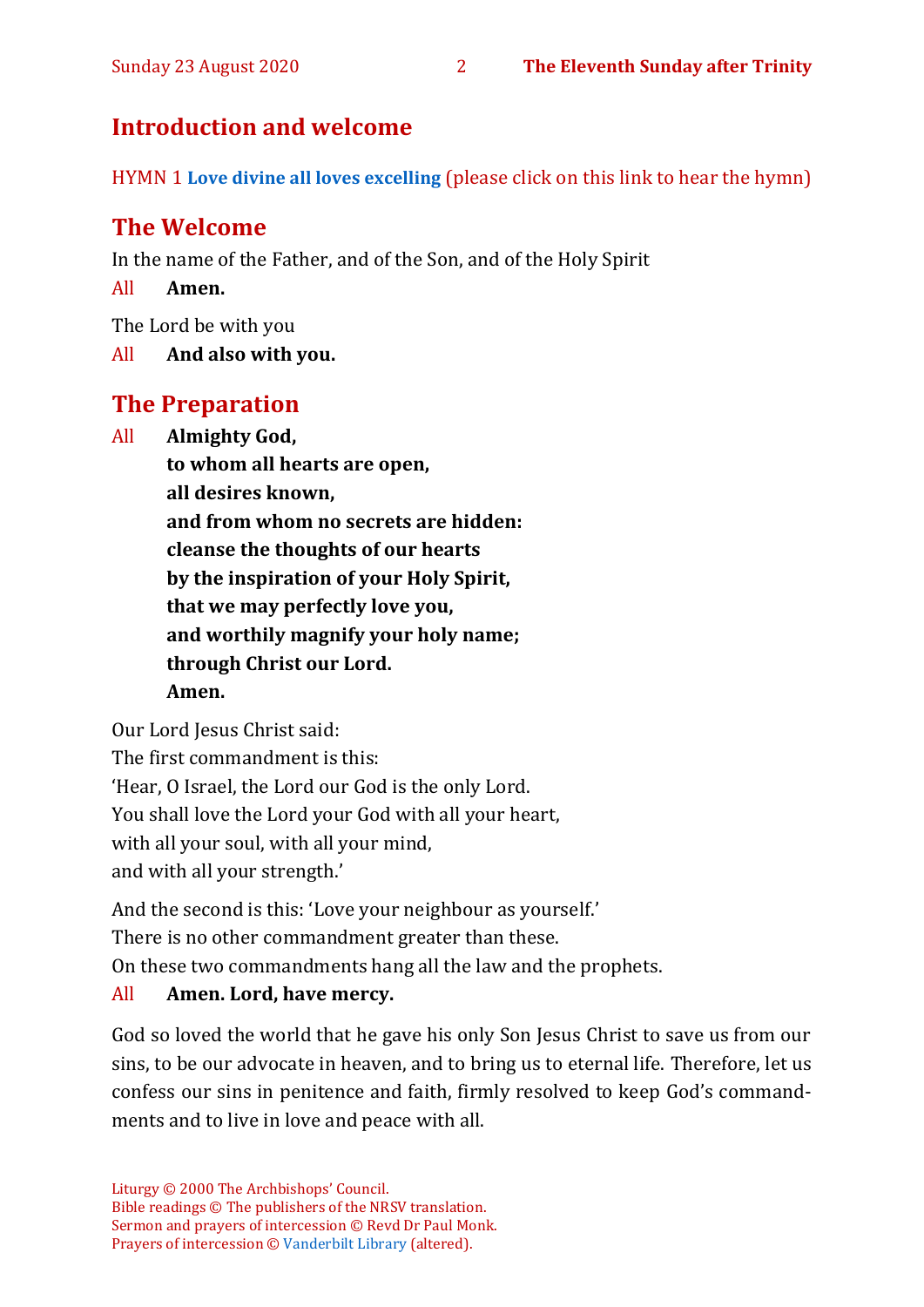## **Introduction and welcome**

HYMN 1 **[Love divine all loves excelling](https://youtu.be/jPsxqQsnzJA)** (please click on this link to hear the hymn)

# **The Welcome**

In the name of the Father, and of the Son, and of the Holy Spirit

All **Amen.**

The Lord be with you

All **And also with you.**

# **The Preparation**

All **Almighty God,**

**to whom all hearts are open, all desires known, and from whom no secrets are hidden: cleanse the thoughts of our hearts by the inspiration of your Holy Spirit, that we may perfectly love you, and worthily magnify your holy name; through Christ our Lord. Amen.**

Our Lord Jesus Christ said:

The first commandment is this: 'Hear, O Israel, the Lord our God is the only Lord. You shall love the Lord your God with all your heart, with all your soul, with all your mind, and with all your strength.'

And the second is this: 'Love your neighbour as yourself.'

There is no other commandment greater than these.

On these two commandments hang all the law and the prophets.

#### All **Amen. Lord, have mercy.**

God so loved the world that he gave his only Son Jesus Christ to save us from our sins, to be our advocate in heaven, and to bring us to eternal life. Therefore, let us confess our sins in penitence and faith, firmly resolved to keep God's commandments and to live in love and peace with all.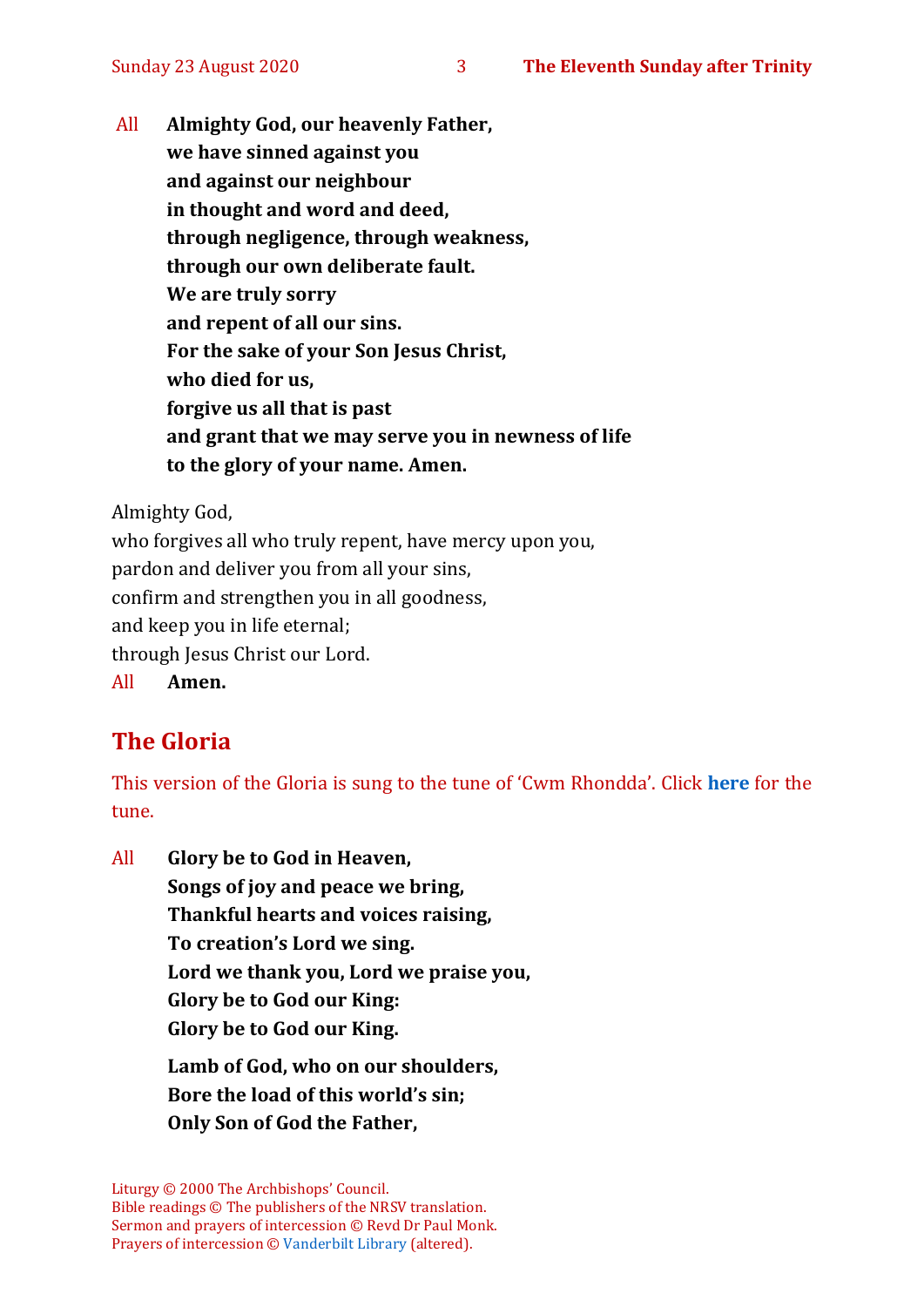All **Almighty God, our heavenly Father, we have sinned against you and against our neighbour in thought and word and deed, through negligence, through weakness, through our own deliberate fault. We are truly sorry and repent of all our sins. For the sake of your Son Jesus Christ, who died for us, forgive us all that is past and grant that we may serve you in newness of life to the glory of your name. Amen.**

Almighty God,

who forgives all who truly repent, have mercy upon you, pardon and deliver you from all your sins, confirm and strengthen you in all goodness, and keep you in life eternal; through Jesus Christ our Lord. All **Amen.**

# **The Gloria**

This version of the Gloria is sung to the tune of 'Cwm Rhondda'. Click **[here](about:blank)** for the tune.

All **Glory be to God in Heaven, Songs of joy and peace we bring, Thankful hearts and voices raising, To creation's Lord we sing. Lord we thank you, Lord we praise you, Glory be to God our King: Glory be to God our King. Lamb of God, who on our shoulders, Bore the load of this world's sin; Only Son of God the Father,**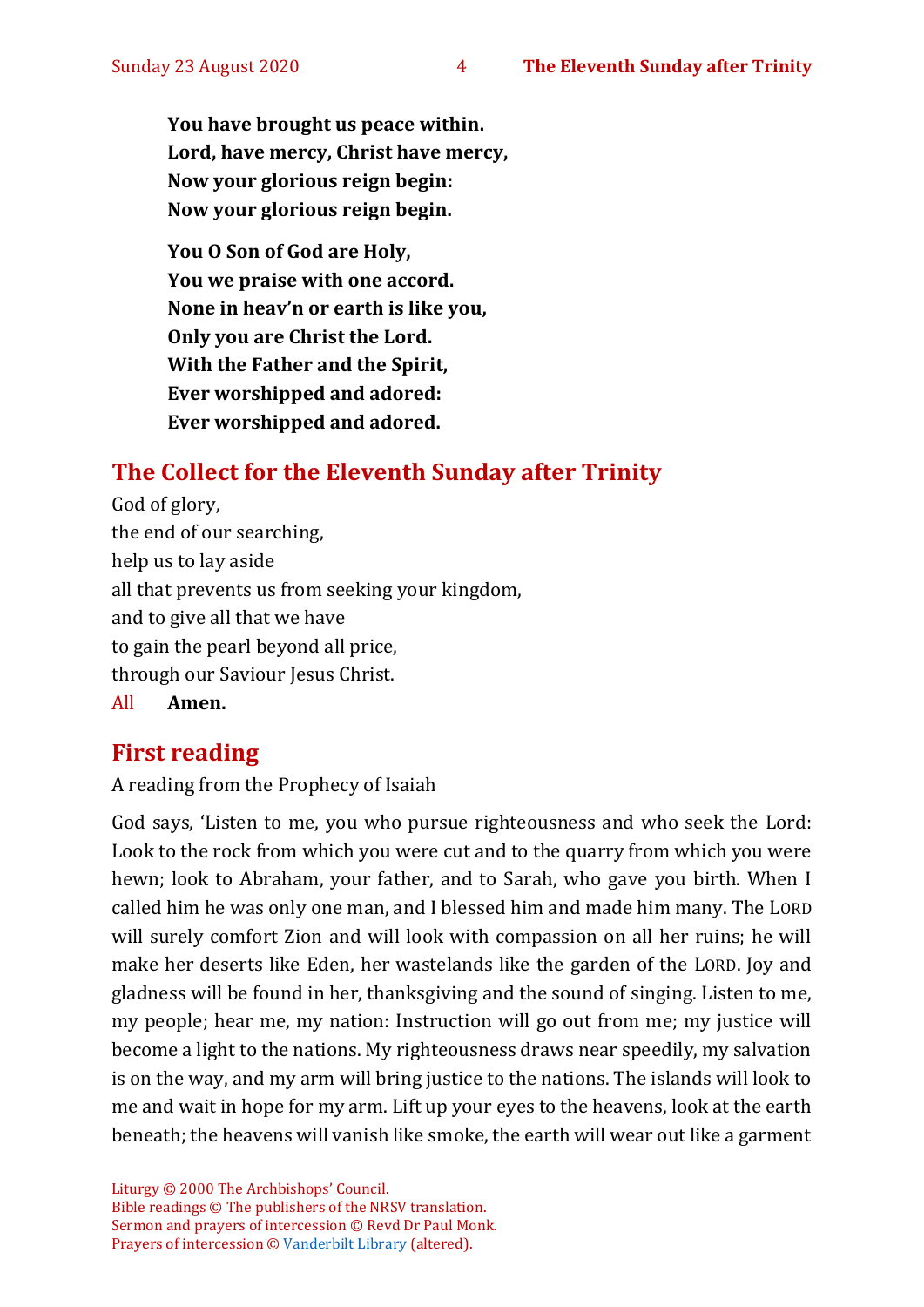**You have brought us peace within. Lord, have mercy, Christ have mercy, Now your glorious reign begin: Now your glorious reign begin.**

**You O Son of God are Holy, You we praise with one accord. None in heav'n or earth is like you, Only you are Christ the Lord. With the Father and the Spirit, Ever worshipped and adored: Ever worshipped and adored.**

# **The Collect for the Eleventh Sunday after Trinity**

God of glory, the end of our searching, help us to lay aside all that prevents us from seeking your kingdom, and to give all that we have to gain the pearl beyond all price, through our Saviour Jesus Christ.

All **Amen.**

# **First reading**

A reading from the Prophecy of Isaiah

God says, 'Listen to me, you who pursue righteousness and who seek the Lord: Look to the rock from which you were cut and to the quarry from which you were hewn; look to Abraham, your father, and to Sarah, who gave you birth. When I called him he was only one man, and I blessed him and made him many. The LORD will surely comfort Zion and will look with compassion on all her ruins; he will make her deserts like Eden, her wastelands like the garden of the LORD. Joy and gladness will be found in her, thanksgiving and the sound of singing. Listen to me, my people; hear me, my nation: Instruction will go out from me; my justice will become a light to the nations. My righteousness draws near speedily, my salvation is on the way, and my arm will bring justice to the nations. The islands will look to me and wait in hope for my arm. Lift up your eyes to the heavens, look at the earth beneath; the heavens will vanish like smoke, the earth will wear out like a garment

Liturgy © 2000 The Archbishops' Council. Bible readings © The publishers of the NRSV translation. Sermon and prayers of intercession © Revd Dr Paul Monk. Prayers of intercession © [Vanderbilt Library](https://lectionary.library.vanderbilt.edu/texts.php?id=156) (altered).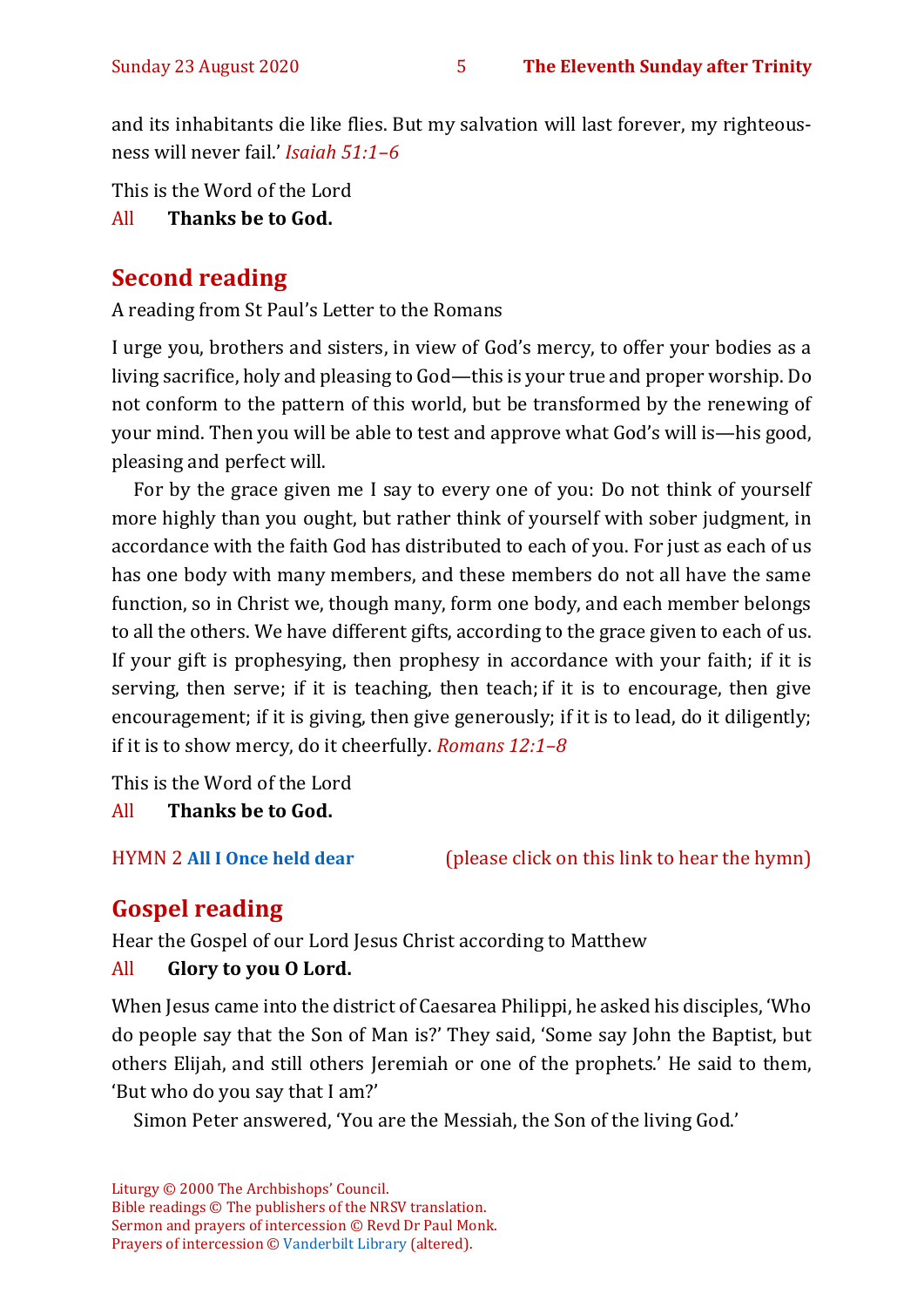and its inhabitants die like flies. But my salvation will last forever, my righteousness will never fail.' *Isaiah 51:1–6* 

This is the Word of the Lord

#### All **Thanks be to God.**

# **Second reading**

A reading from St Paul's Letter to the Romans

I urge you, brothers and sisters, in view of God's mercy, to offer your bodies as a living sacrifice, holy and pleasing to God—this is your true and proper worship. Do not conform to the pattern of this world, but be transformed by the renewing of your mind. Then you will be able to test and approve what God's will is—his good, pleasing and perfect will.

For by the grace given me I say to every one of you: Do not think of yourself more highly than you ought, but rather think of yourself with sober judgment, in accordance with the faith God has distributed to each of you. For just as each of us has one body with many members, and these members do not all have the same function, so in Christ we, though many, form one body, and each member belongs to all the others. We have different gifts, according to the grace given to each of us. If your gift is prophesying, then prophesy in accordance with your faith; if it is serving, then serve; if it is teaching, then teach; if it is to encourage, then give encouragement; if it is giving, then give generously; if it is to lead, do it diligently; if it is to show mercy, do it cheerfully. *Romans 12:1–8*

This is the Word of the Lord

#### All **Thanks be to God.**

HYMN 2 **[All I Once held dear](https://www.youtube.com/watch?v=oxpPIa-BskY)** (please click on this link to hear the hymn)

# **Gospel reading**

Hear the Gospel of our Lord Jesus Christ according to Matthew

#### All **Glory to you O Lord.**

When Jesus came into the district of Caesarea Philippi, he asked his disciples, 'Who do people say that the Son of Man is?' They said, 'Some say John the Baptist, but others Elijah, and still others Jeremiah or one of the prophets.' He said to them, 'But who do you say that I am?'

Simon Peter answered, 'You are the Messiah, the Son of the living God.'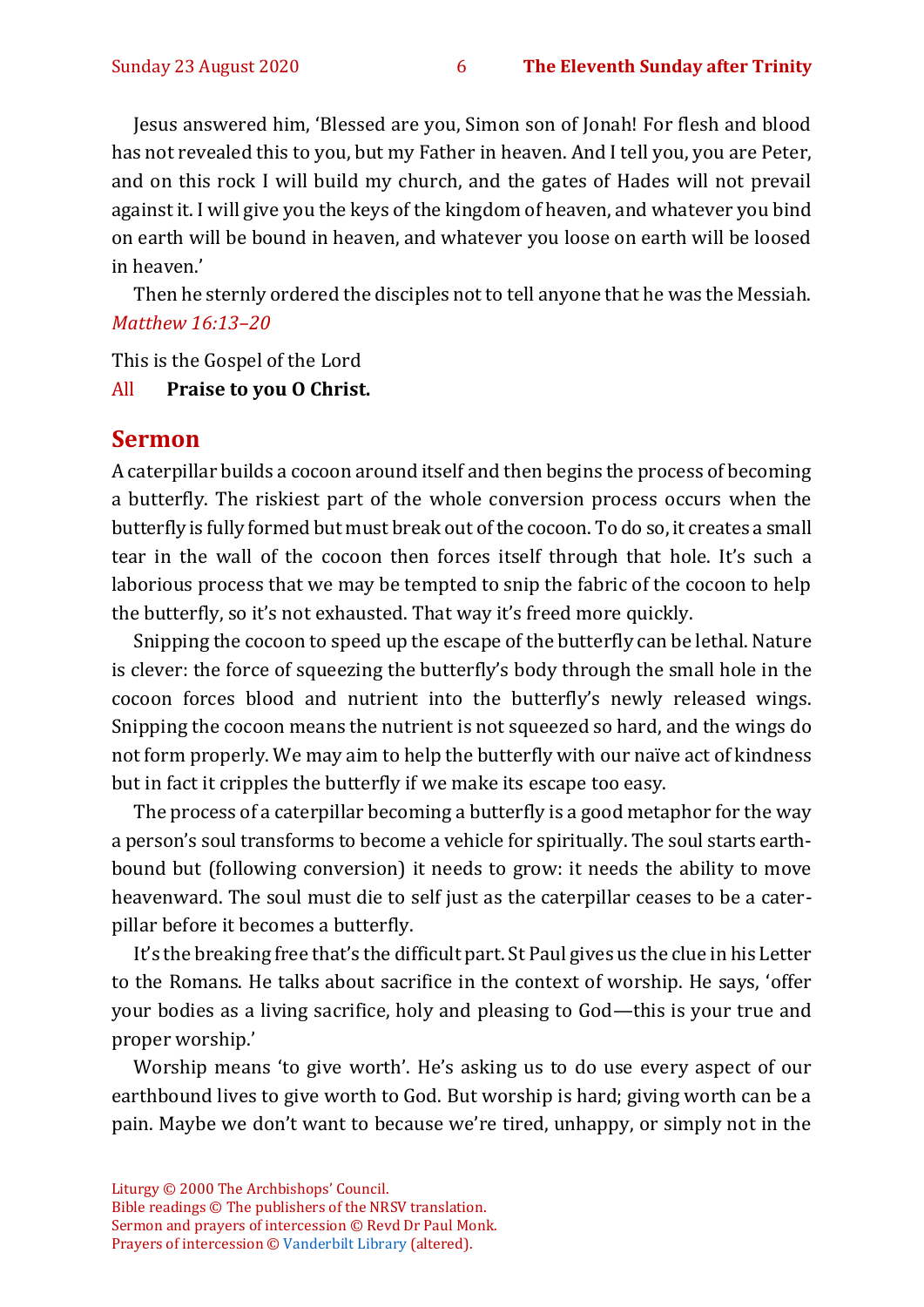Jesus answered him, 'Blessed are you, Simon son of Jonah! For flesh and blood has not revealed this to you, but my Father in heaven. And I tell you, you are Peter, and on this rock I will build my church, and the gates of Hades will not prevail against it. I will give you the keys of the kingdom of heaven, and whatever you bind on earth will be bound in heaven, and whatever you loose on earth will be loosed in heaven.'

Then he sternly ordered the disciples not to tell anyone that he was the Messiah. *Matthew 16:13–20*

This is the Gospel of the Lord

#### All **Praise to you O Christ.**

#### **Sermon**

A caterpillar builds a cocoon around itself and then begins the process of becoming a butterfly. The riskiest part of the whole conversion process occurs when the butterfly is fully formed but must break out of the cocoon. To do so, it creates a small tear in the wall of the cocoon then forces itself through that hole. It's such a laborious process that we may be tempted to snip the fabric of the cocoon to help the butterfly, so it's not exhausted. That way it's freed more quickly.

Snipping the cocoon to speed up the escape of the butterfly can be lethal. Nature is clever: the force of squeezing the butterfly's body through the small hole in the cocoon forces blood and nutrient into the butterfly's newly released wings. Snipping the cocoon means the nutrient is not squeezed so hard, and the wings do not form properly. We may aim to help the butterfly with our naïve act of kindness but in fact it cripples the butterfly if we make its escape too easy.

The process of a caterpillar becoming a butterfly is a good metaphor for the way a person's soul transforms to become a vehicle for spiritually. The soul starts earthbound but (following conversion) it needs to grow: it needs the ability to move heavenward. The soul must die to self just as the caterpillar ceases to be a caterpillar before it becomes a butterfly.

It's the breaking free that's the difficult part. St Paul gives us the clue in his Letter to the Romans. He talks about sacrifice in the context of worship. He says, 'offer your bodies as a living sacrifice, holy and pleasing to God—this is your true and proper worship.'

Worship means 'to give worth'. He's asking us to do use every aspect of our earthbound lives to give worth to God. But worship is hard; giving worth can be a pain. Maybe we don't want to because we're tired, unhappy, or simply not in the

Liturgy © 2000 The Archbishops' Council.

Bible readings © The publishers of the NRSV translation. Sermon and prayers of intercession © Revd Dr Paul Monk. Prayers of intercession © [Vanderbilt Library](https://lectionary.library.vanderbilt.edu/texts.php?id=156) (altered).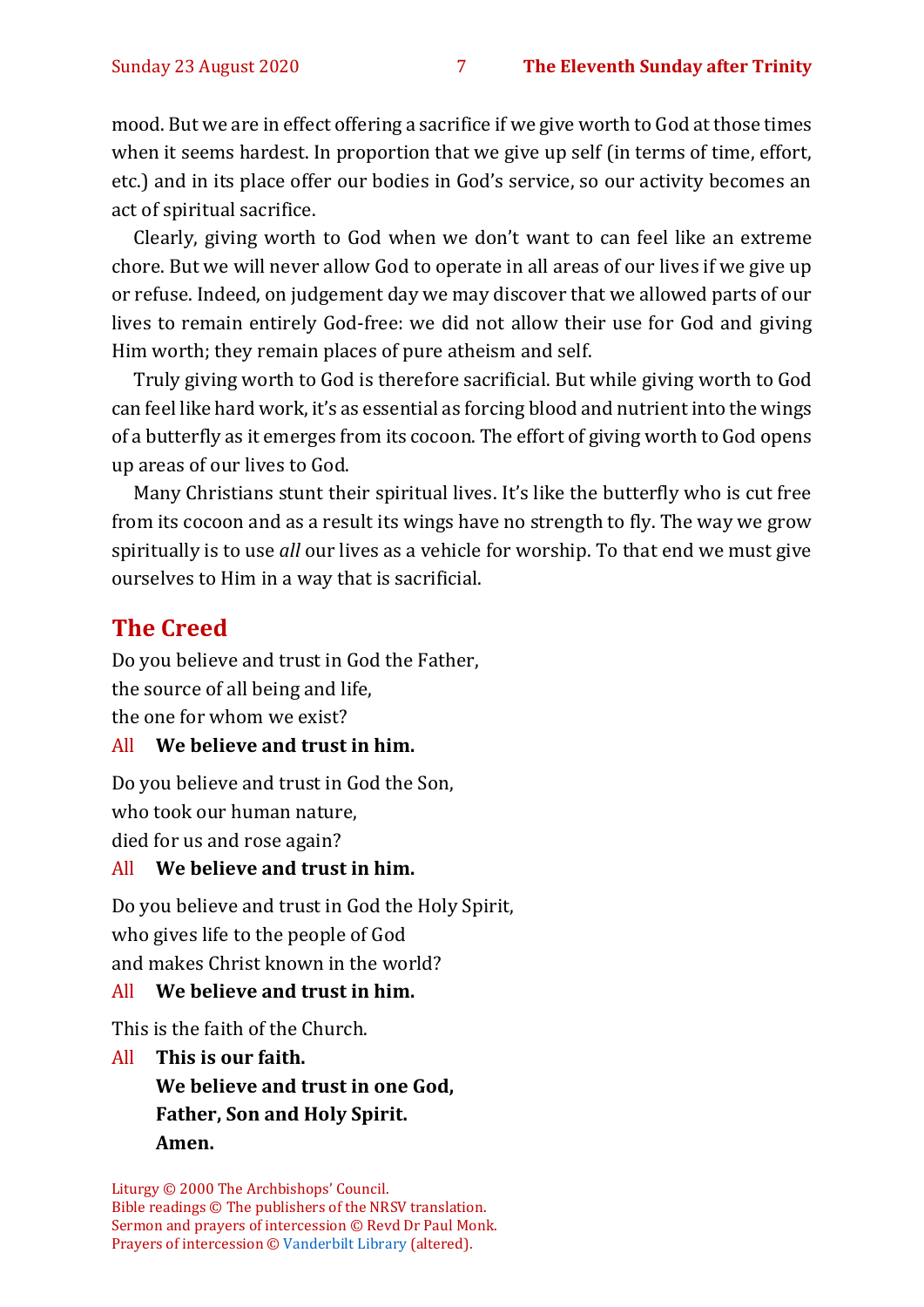mood. But we are in effect offering a sacrifice if we give worth to God at those times when it seems hardest. In proportion that we give up self (in terms of time, effort, etc.) and in its place offer our bodies in God's service, so our activity becomes an act of spiritual sacrifice.

Clearly, giving worth to God when we don't want to can feel like an extreme chore. But we will never allow God to operate in all areas of our lives if we give up or refuse. Indeed, on judgement day we may discover that we allowed parts of our lives to remain entirely God-free: we did not allow their use for God and giving Him worth; they remain places of pure atheism and self.

Truly giving worth to God is therefore sacrificial. But while giving worth to God can feel like hard work, it's as essential as forcing blood and nutrient into the wings of a butterfly as it emerges from its cocoon. The effort of giving worth to God opens up areas of our lives to God.

Many Christians stunt their spiritual lives. It's like the butterfly who is cut free from its cocoon and as a result its wings have no strength to fly. The way we grow spiritually is to use *all* our lives as a vehicle for worship. To that end we must give ourselves to Him in a way that is sacrificial.

# **The Creed**

Do you believe and trust in God the Father, the source of all being and life, the one for whom we exist?

#### All **We believe and trust in him.**

Do you believe and trust in God the Son, who took our human nature,

died for us and rose again?

#### All **We believe and trust in him.**

Do you believe and trust in God the Holy Spirit, who gives life to the people of God and makes Christ known in the world?

#### All **We believe and trust in him.**

This is the faith of the Church.

All **This is our faith. We believe and trust in one God, Father, Son and Holy Spirit. Amen.**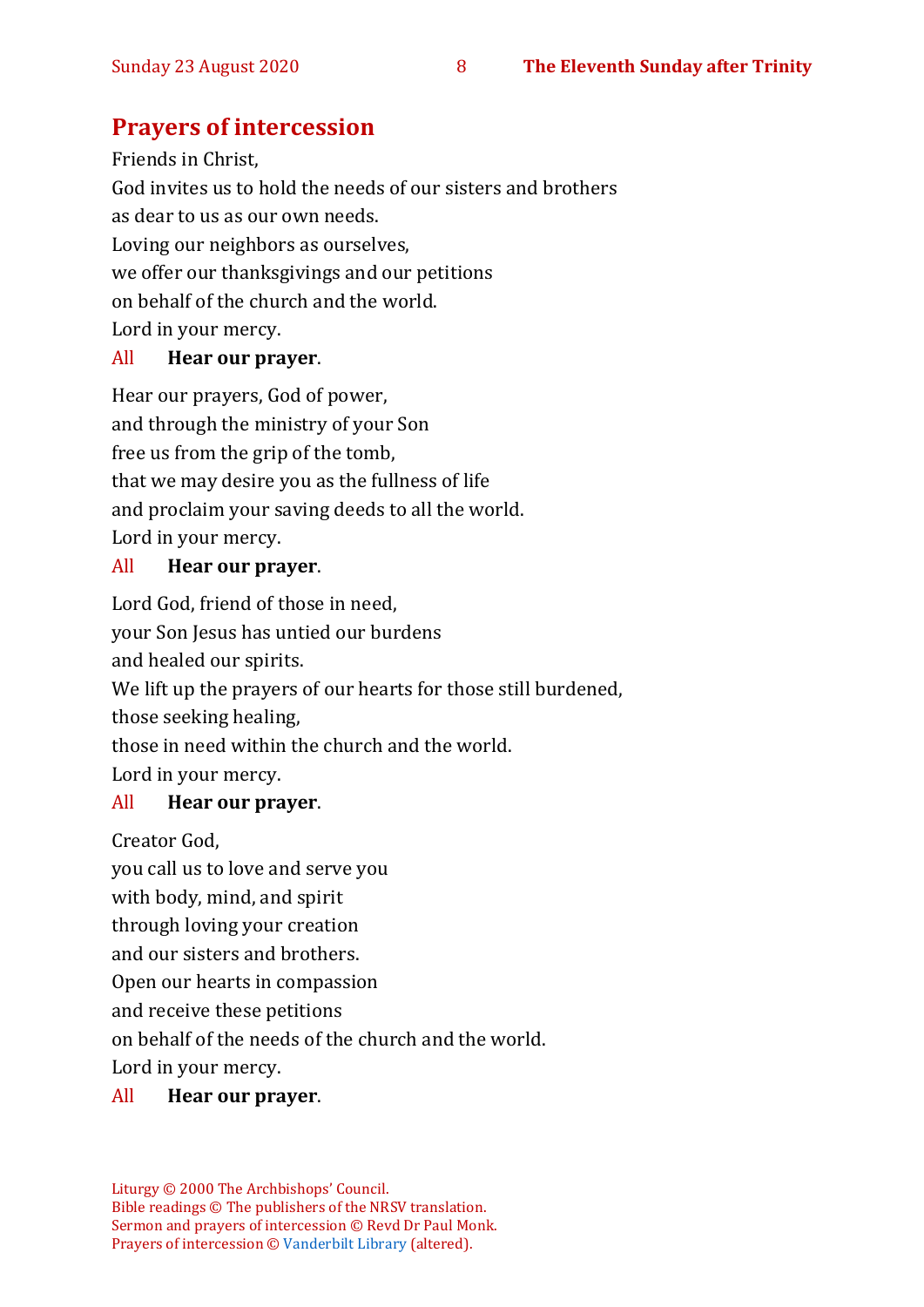# **Prayers of intercession**

Friends in Christ, God invites us to hold the needs of our sisters and brothers as dear to us as our own needs. Loving our neighbors as ourselves, we offer our thanksgivings and our petitions on behalf of the church and the world. Lord in your mercy.

#### All **Hear our prayer**.

Hear our prayers, God of power, and through the ministry of your Son free us from the grip of the tomb, that we may desire you as the fullness of life and proclaim your saving deeds to all the world. Lord in your mercy.

#### All **Hear our prayer**.

Lord God, friend of those in need,

your Son Jesus has untied our burdens

and healed our spirits.

We lift up the prayers of our hearts for those still burdened,

those seeking healing,

those in need within the church and the world.

Lord in your mercy.

#### All **Hear our prayer**.

Creator God,

you call us to love and serve you with body, mind, and spirit through loving your creation and our sisters and brothers. Open our hearts in compassion and receive these petitions on behalf of the needs of the church and the world.

Lord in your mercy.

#### All **Hear our prayer**.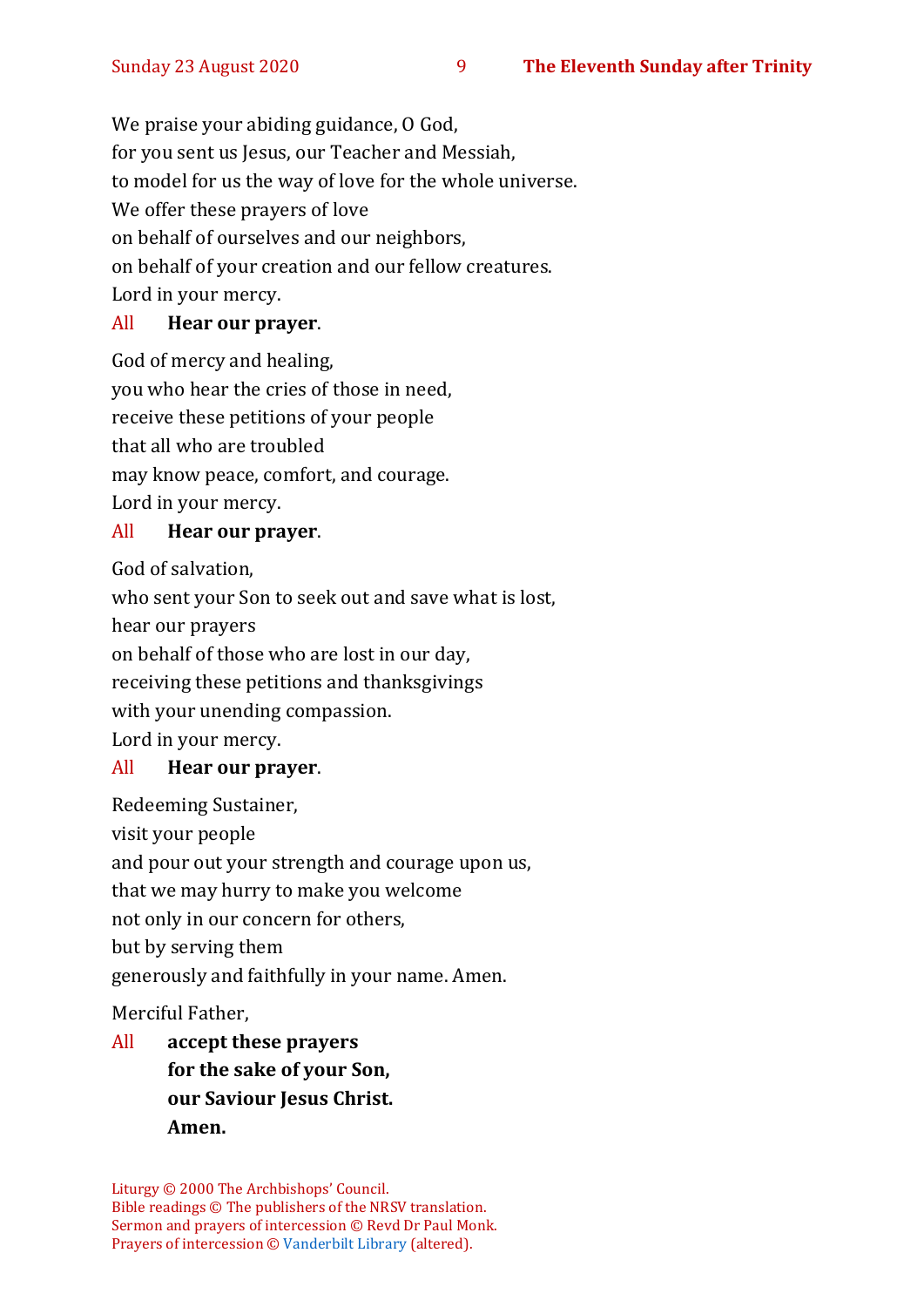We praise your abiding guidance, O God, for you sent us Jesus, our Teacher and Messiah, to model for us the way of love for the whole universe. We offer these prayers of love on behalf of ourselves and our neighbors, on behalf of your creation and our fellow creatures. Lord in your mercy.

#### All **Hear our prayer**.

God of mercy and healing, you who hear the cries of those in need, receive these petitions of your people that all who are troubled may know peace, comfort, and courage. Lord in your mercy.

#### All **Hear our prayer**.

God of salvation,

who sent your Son to seek out and save what is lost, hear our prayers on behalf of those who are lost in our day, receiving these petitions and thanksgivings with your unending compassion. Lord in your mercy.

#### All **Hear our prayer**.

Redeeming Sustainer, visit your people and pour out your strength and courage upon us, that we may hurry to make you welcome not only in our concern for others, but by serving them generously and faithfully in your name. Amen.

Merciful Father,

All **accept these prayers for the sake of your Son, our Saviour Jesus Christ. Amen.**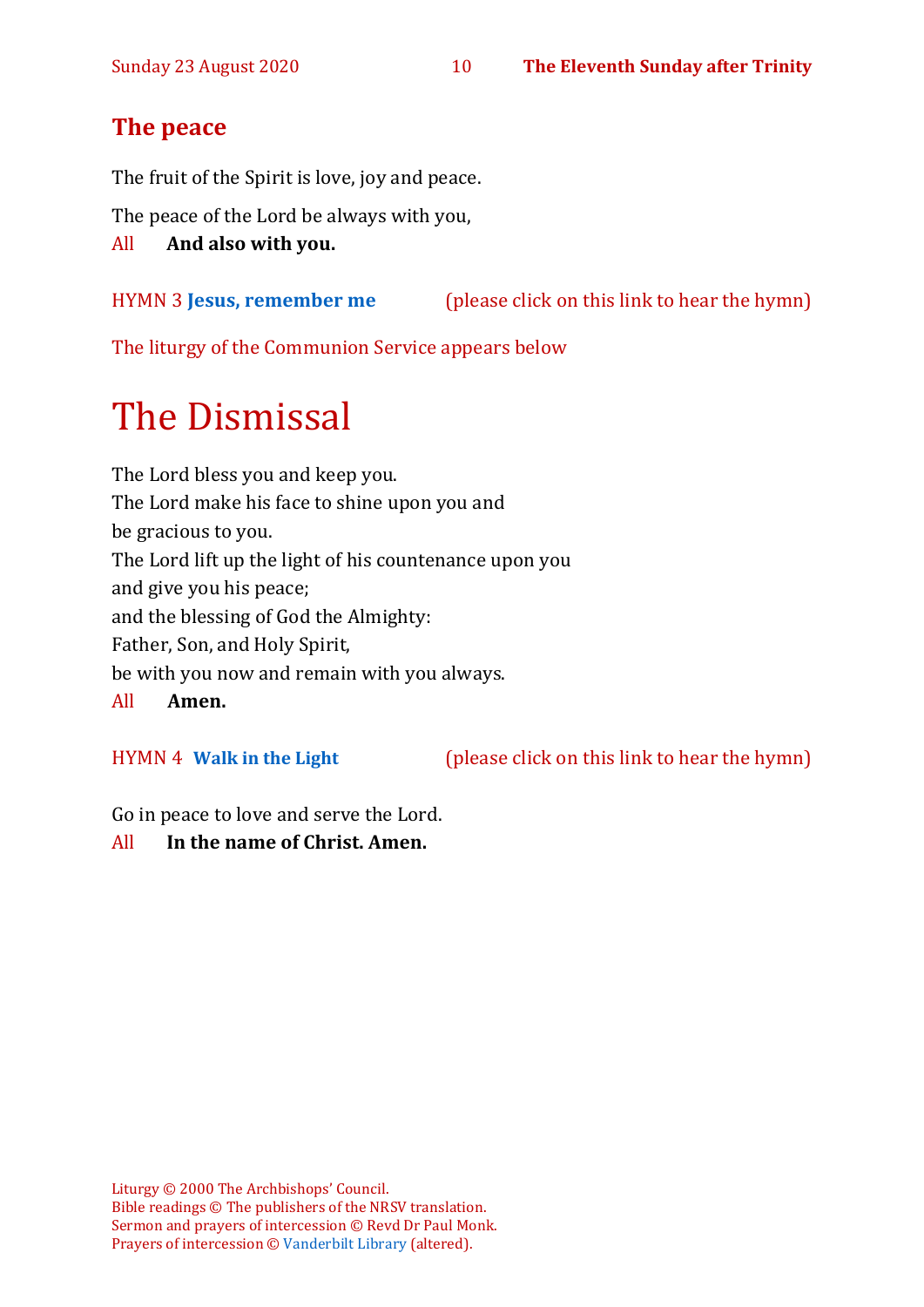# **The peace**

The fruit of the Spirit is love, joy and peace.

The peace of the Lord be always with you,

All **And also with you.**

HYMN 3 **[Jesus, remember me](https://www.youtube.com/watch?v=RGB2E0NzO2A)** (please click on this link to hear the hymn)

The liturgy of the Communion Service appears below

# The Dismissal

The Lord bless you and keep you. The Lord make his face to shine upon you and be gracious to you. The Lord lift up the light of his countenance upon you and give you his peace; and the blessing of God the Almighty: Father, Son, and Holy Spirit, be with you now and remain with you always.

All **Amen.**

HYMN 4 **[Walk in the Light](https://youtu.be/dnt4ST8HGQA)** (please click on this link to hear the hymn)

Go in peace to love and serve the Lord.

All **In the name of Christ. Amen.**

Liturgy © 2000 The Archbishops' Council. Bible readings © The publishers of the NRSV translation. Sermon and prayers of intercession © Revd Dr Paul Monk. Prayers of intercession © [Vanderbilt Library](https://lectionary.library.vanderbilt.edu/texts.php?id=156) (altered).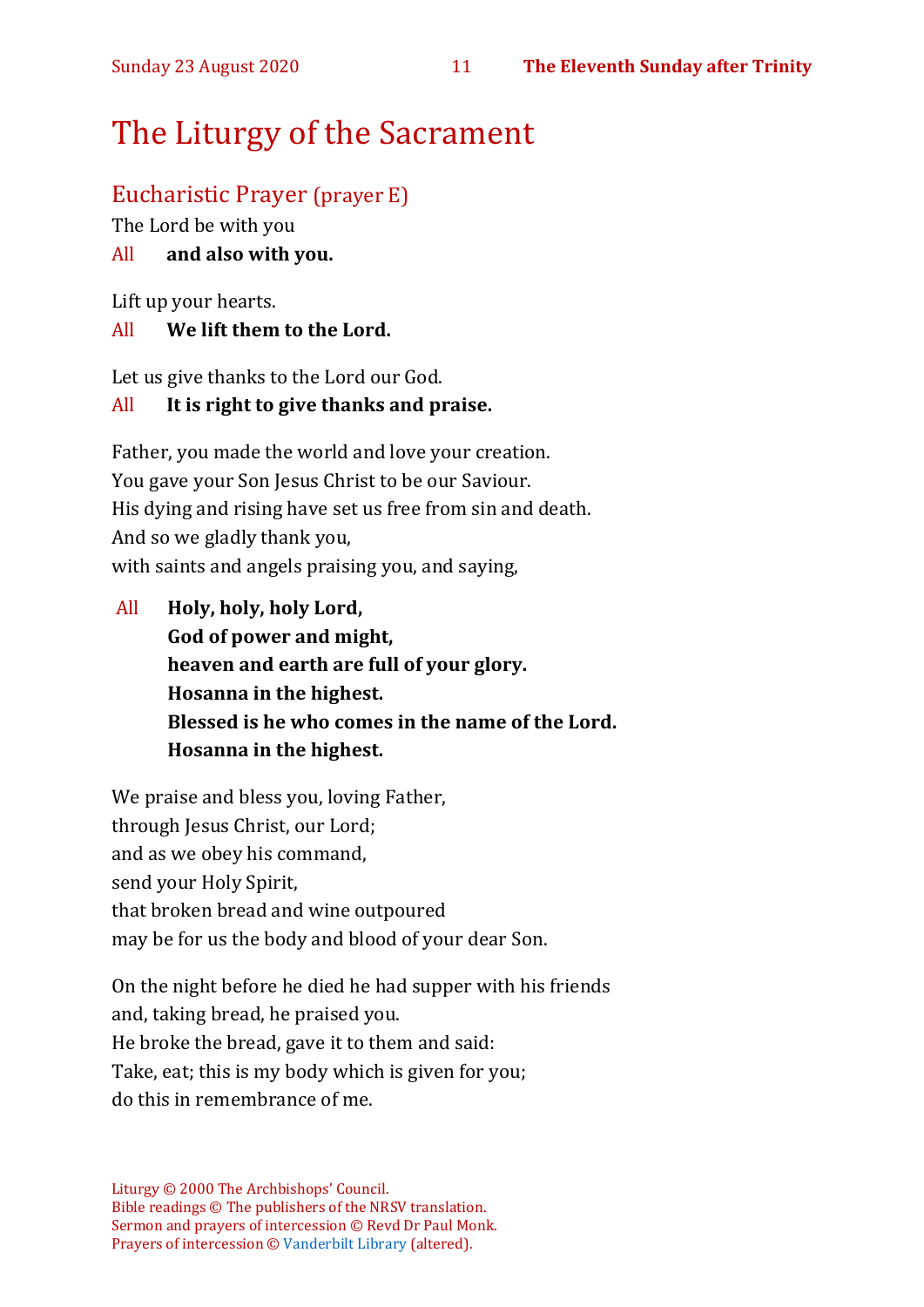# The Liturgy of the Sacrament

# Eucharistic Prayer (prayer E)

The Lord be with you

#### All **and also with you.**

Lift up your hearts.

#### All **We lift them to the Lord.**

Let us give thanks to the Lord our God.

#### All **It is right to give thanks and praise.**

Father, you made the world and love your creation. You gave your Son Jesus Christ to be our Saviour. His dying and rising have set us free from sin and death. And so we gladly thank you, with saints and angels praising you, and saying,

All **Holy, holy, holy Lord, God of power and might, heaven and earth are full of your glory. Hosanna in the highest. Blessed is he who comes in the name of the Lord. Hosanna in the highest.**

We praise and bless you, loving Father, through Jesus Christ, our Lord; and as we obey his command, send your Holy Spirit, that broken bread and wine outpoured may be for us the body and blood of your dear Son.

On the night before he died he had supper with his friends and, taking bread, he praised you. He broke the bread, gave it to them and said: Take, eat; this is my body which is given for you; do this in remembrance of me.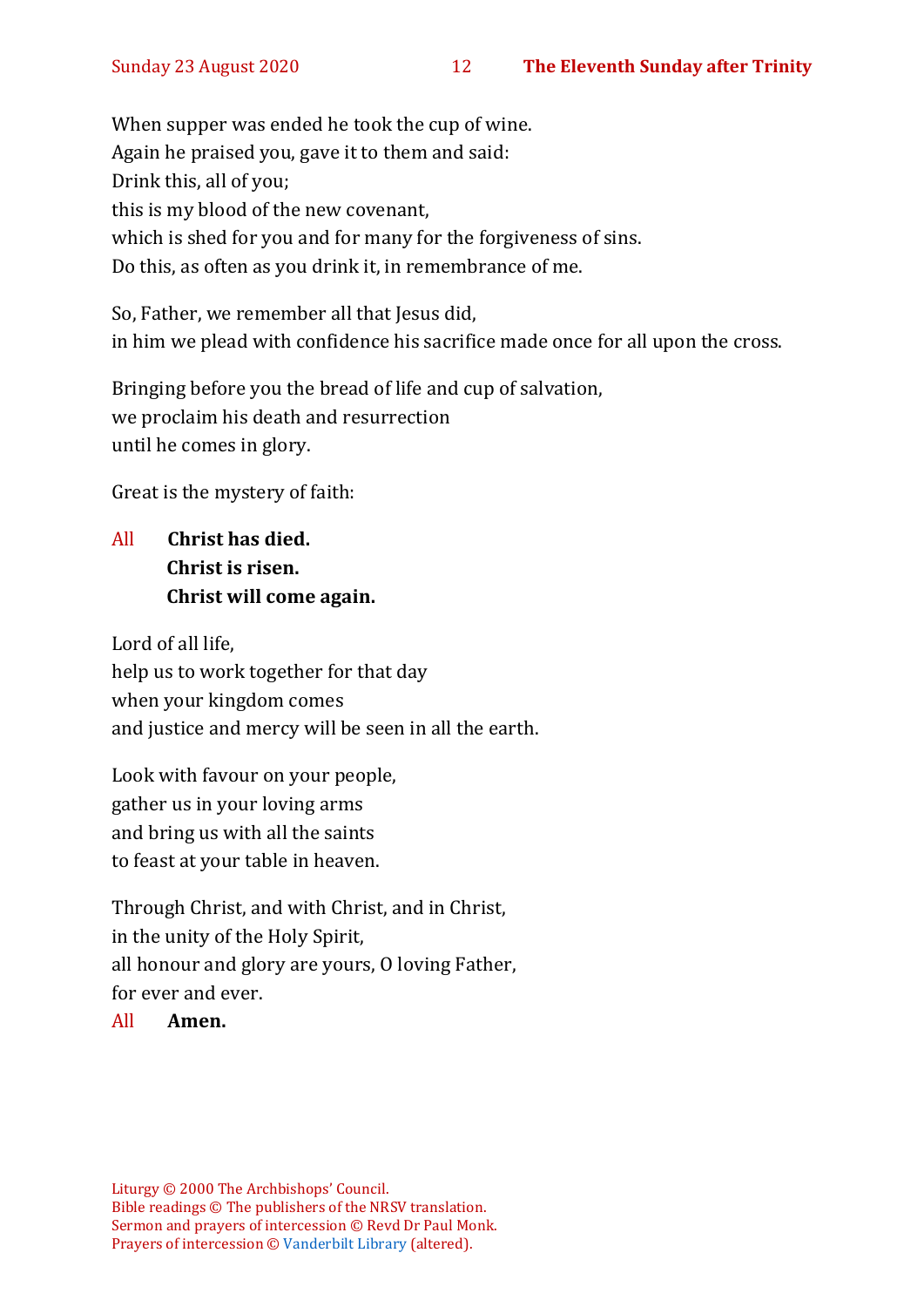When supper was ended he took the cup of wine. Again he praised you, gave it to them and said: Drink this, all of you; this is my blood of the new covenant, which is shed for you and for many for the forgiveness of sins. Do this, as often as you drink it, in remembrance of me.

So, Father, we remember all that Jesus did, in him we plead with confidence his sacrifice made once for all upon the cross.

Bringing before you the bread of life and cup of salvation, we proclaim his death and resurrection until he comes in glory.

Great is the mystery of faith:

All **Christ has died. Christ is risen. Christ will come again.**

Lord of all life, help us to work together for that day when your kingdom comes and justice and mercy will be seen in all the earth.

Look with favour on your people, gather us in your loving arms and bring us with all the saints to feast at your table in heaven.

Through Christ, and with Christ, and in Christ, in the unity of the Holy Spirit, all honour and glory are yours, O loving Father, for ever and ever.

#### All **Amen.**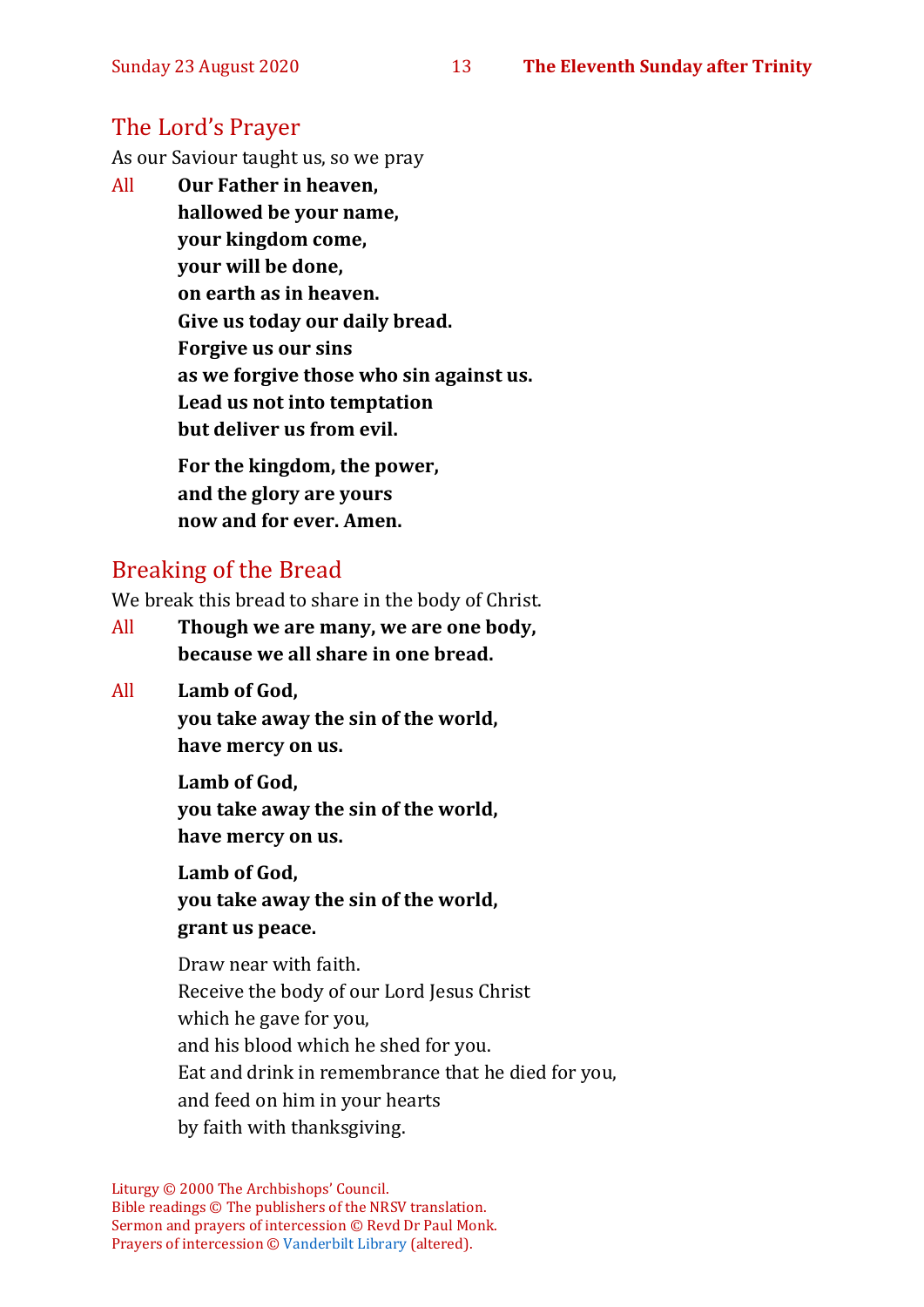## The Lord's Prayer

As our Saviour taught us, so we pray

All **Our Father in heaven, hallowed be your name, your kingdom come, your will be done, on earth as in heaven. Give us today our daily bread. Forgive us our sins as we forgive those who sin against us. Lead us not into temptation but deliver us from evil. For the kingdom, the power, and the glory are yours**

**now and for ever. Amen.**

### Breaking of the Bread

We break this bread to share in the body of Christ.

- All **Though we are many, we are one body, because we all share in one bread.**
- All **Lamb of God,**

**you take away the sin of the world, have mercy on us.**

**Lamb of God, you take away the sin of the world, have mercy on us.**

**Lamb of God, you take away the sin of the world, grant us peace.**

Draw near with faith. Receive the body of our Lord Jesus Christ which he gave for you, and his blood which he shed for you. Eat and drink in remembrance that he died for you, and feed on him in your hearts by faith with thanksgiving.